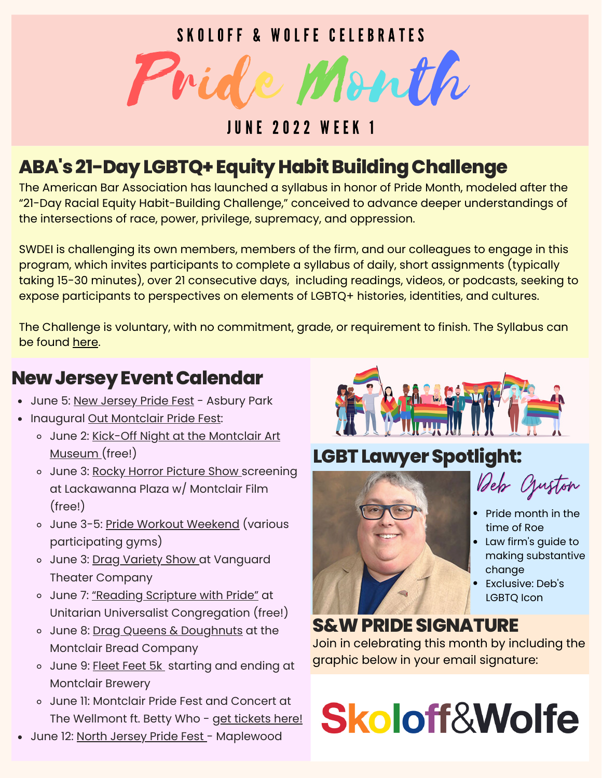#### S K O L O F F & W O L F E C E L E B R A T E S



#### **JUNE 2022 WEEK 1**

#### **ABA's21-DayLGBTQ+EquityHabitBuildingChallenge**

The American Bar Association has launched a syllabus in honor of Pride Month, modeled after the "21-Day Racial Equity Habit-Building Challenge," conceived to advance deeper understandings of the intersections of race, power, privilege, supremacy, and oppression.

SWDEI is challenging its own members, members of the firm, and our colleagues to engage in this program, which invites participants to complete a syllabus of daily, short assignments (typically taking 15-30 minutes), over 21 consecutive days, including readings, videos, or podcasts, seeking to expose participants to perspectives on elements of LGBTQ+ histories, identities, and cultures.

The Challenge is voluntary, with no commitment, grade, or requirement to finish. The Syllabus can be found [here.](https://docs.google.com/document/d/12WywEm2PDqc8IyXh1gSMiHMZ23x2UMdNdO_CrixZ0Nw/edit)

#### **NewJerseyEventCalendar**

- June 5: New [Jersey](https://www.jerseypride.org/details.html) Pride Fest Asbury Park
- Inaugural Out [Montclair](https://outmontclair.org/pride) Pride Fest:
	- o June 2: Kick-Off Night at the [Montclair](http://www.montclairartmuseum.org/freefirstthursdays) Art Museum (free!)
	- o June 3: Rocky Horror [Picture](https://montclairfilm.org/events/the-rocky-horror-picture-show/) Show screening at Lackawanna Plaza w/ Montclair Film (free!)
	- o June 3-5: [Pride](https://outmontclair.org/events/pride-weekend-of-workouts) Workout [Weekend](https://outmontclair.org/events/pride-weekend-of-workouts) (various participating gyms)
	- o June 3: Drag [Variety](https://vtcnj.ticketleap.com/dragvtc/dates/Jun-06-2022_at_0730PM) Show at Vanguard Theater Company
	- o June 7: ["Reading](https://outmontclair.org/events/reading-scripture-with-pride) Scripture with Pride" at Unitarian Universalist Congregation (free!)
	- o June 8: Drag Queens & [Doughnuts](https://outmontclair.org/events/drag-queens-doughnuts) at the Montclair Bread Company
	- o June 9: [Fleet](https://www.fleetfeet.com/s/montclair/community/pride-stride) Feet 5[k](https://www.fleetfeet.com/s/montclair/community/pride-stride) starting and ending at Montclair Brewery
	- June 11: Montclair Pride Fest and Concert at The Wellmont ft. Betty Who - get [tickets](https://www.ticketmaster.com/the-montclair-pride-concert-at-the-montclair-new-jersey-06-11-2022/event/02005C7C04866666?CAMEFROM=CFC_WELLMONT_WEB_OUTMTC_WEBSITE) here!
- June 12: North [Jersey](https://outinjersey.net/events/north-jersey-pride-festival-2022-in-maplewood/) Pride Fest Maplewood



#### **LGBTLawyerSpotlight:**



Deb Cjuston

- Pride month in the time of Roe
- Law firm's guide to making substantive change
- Exclusive: Deb's LGBTQ Icon

#### **S&WPRIDESIGNATURE**

Join in celebrating this month by including the graphic below in your email signature:

# **Skoloff&Wolfe**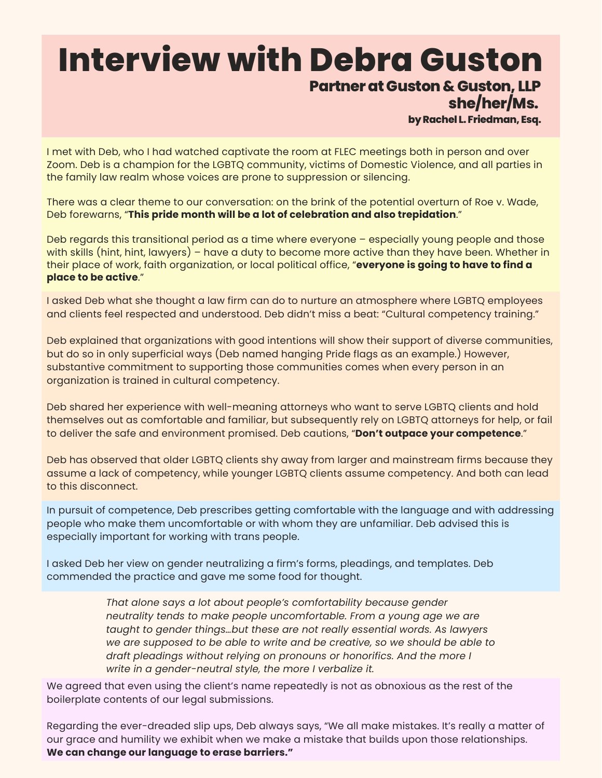## **Interview with Debra Guston**

#### **PartneratGuston & Guston, LLP**

**she/her/Ms.**

**byRachel L. Friedman, Esq.**

I met with Deb, who I had watched captivate the room at FLEC meetings both in person and over Zoom. Deb is a champion for the LGBTQ community, victims of Domestic Violence, and all parties in the family law realm whose voices are prone to suppression or silencing.

There was a clear theme to our conversation: on the brink of the potential overturn of Roe v. Wade, Deb forewarns, "**This pride month will be a lot of celebration and also trepidation**."

Deb regards this transitional period as a time where everyone – especially young people and those with skills (hint, hint, lawyers) – have a duty to become more active than they have been. Whether in their place of work, faith organization, or local political office, "**everyone is going to have to find a place to be active**."

I asked Deb what she thought a law firm can do to nurture an atmosphere where LGBTQ employees and clients feel respected and understood. Deb didn't miss a beat: "Cultural competency training."

Deb explained that organizations with good intentions will show their support of diverse communities, but do so in only superficial ways (Deb named hanging Pride flags as an example.) However, substantive commitment to supporting those communities comes when every person in an organization is trained in cultural competency.

Deb shared her experience with well-meaning attorneys who want to serve LGBTQ clients and hold themselves out as comfortable and familiar, but subsequently rely on LGBTQ attorneys for help, or fail to deliver the safe and environment promised. Deb cautions, "**Don't outpace your competence**."

Deb has observed that older LGBTQ clients shy away from larger and mainstream firms because they assume a lack of competency, while younger LGBTQ clients assume competency. And both can lead to this disconnect.

In pursuit of competence, Deb prescribes getting comfortable with the language and with addressing people who make them uncomfortable or with whom they are unfamiliar. Deb advised this is especially important for working with trans people.

I asked Deb her view on gender neutralizing a firm's forms, pleadings, and templates. Deb commended the practice and gave me some food for thought.

> *That alone says a lot about people's comfortability because gender neutrality tends to make people uncomfortable. From a young age we are taught to gender things…but these are not really essential words. As lawyers we are supposed to be able to write and be creative, so we should be able to draft pleadings without relying on pronouns or honorifics. And the more I write in a gender-neutral style, the more I verbalize it.*

We agreed that even using the client's name repeatedly is not as obnoxious as the rest of the boilerplate contents of our legal submissions.

Regarding the ever-dreaded slip ups, Deb always says, "We all make mistakes. It's really a matter of our grace and humility we exhibit when we make a mistake that builds upon those relationships. **We can change our language to erase barriers."**